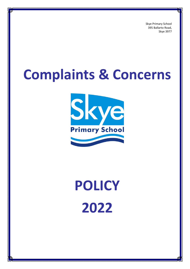Skye Primary School 395 Ballarto Road, Skye 3977

# **Complaints & Concerns**



# **POLICY 2022**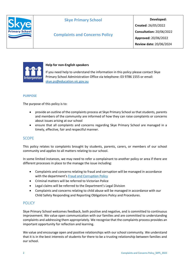

# **Complaints and Concerns Policy**

**Developed: Created**: 26/05/2022 **Consultation:** 20/06/2022 **Approved:** 20/06/2022 **Review date:** 20/06/2024



## **Help for non-English speakers**

If you need help to understand the information in this policy please contact Skye Primary School Administration Office via telephone: 03 9786 1555 or email: [skye.ps@education.vic.gov.au](mailto:skye.ps@education.vic.gov.au)

## **PURPOSE**

The purpose of this policy is to:

- provide an outline of the complaints process at Skye Primary School so that students, parents and members of the community are informed of how they can raise complaints or concerns about issues arising at our school
- ensure that all complaints and concerns regarding Skye Primary School are managed in a timely, effective, fair and respectful manner.

# **SCOPE**

This policy relates to complaints brought by students, parents, carers, or members of our school community and applies to all matters relating to our school.

In some limited instances, we may need to refer a complainant to another policy or area if there are different processes in place to the manage the issue including:

- Complaints and concerns relating to fraud and corruption will be managed in accordance with the department's [Fraud and Corruption Policy](https://www2.education.vic.gov.au/pal/report-fraud-or-corruption/overview)
- Criminal matters will be referred to Victorian Police
- Legal claims will be referred to the Department's Legal Division
- Complaints and concerns relating to child abuse will be managed in accordance with our Child Safety Responding and Reporting Obligations Policy and Procedures.

# **POLICY**

Skye Primary School welcomes feedback, both positive and negative, and is committed to continuous improvement. We value open communication with our families and are committed to understanding complaints and addressing them appropriately. We recognise that the complaints process provides an important opportunity for reflection and learning.

We value and encourage open and positive relationships with our school community. We understand that it is in the best interests of students for there to be a trusting relationship between families and our school.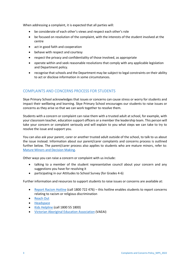When addressing a complaint, it is expected that all parties will:

- be considerate of each other's views and respect each other's role
- be focused on resolution of the complaint, with the interests of the student involved at the centre
- act in good faith and cooperation
- behave with respect and courtesy
- respect the privacy and confidentiality of those involved, as appropriate
- operate within and seek reasonable resolutions that comply with any applicable legislation and Department policy.
- recognise that schools and the Department may be subject to legal constraints on their ability to act or disclose information in some circumstances.

# COMPLAINTS AND CONCERNS PROCESS FOR STUDENTS

Skye Primary School acknowledges that issues or concerns can cause stress or worry for students and impact their wellbeing and learning. Skye Primary School encourages our students to raise issues or concerns as they arise so that we can work together to resolve them.

Students with a concern or complaint can raise them with a trusted adult at school, for example, with your classroom teacher, education support officers or a member the leadership team. This person will take your concern or complaint seriously and will explain to you what steps we can take to try to resolve the issue and support you.

You can also ask your parent, carer or another trusted adult outside of the school, to talk to us about the issue instead. Information about our parent/carer complaints and concerns process is outlined further below. The parent/carer process also applies to students who are mature minors, refer to: [Mature Minors and Decision Making.](https://www2.education.vic.gov.au/pal/mature-minors-and-decision-making/policy)

Other ways you can raise a concern or complaint with us include:

- talking to a member of the student representative council about your concern and any suggestions you have for resolving it
- participating in our Attitudes to School Survey (for Grades 4-6)

Further information and resources to support students to raise issues or concerns are available at:

- [Report Racism Hotline](https://www.vic.gov.au/report-racism-or-religious-discrimination-schools) (call 1800 722 476) this hotline enables students to report concerns relating to racism or religious discrimination
- [Reach Out](https://au.reachout.com/?gclid=CjwKCAiAgbiQBhAHEiwAuQ6BktaB5xneGFK3TnOql5c5eZ7af7dDm9ffLZa7N59FEtbtQzVIk8sGWhoC8N0QAvD_BwE)
- [Headspace](https://headspace.org.au/)
- [Kids Helpline](https://kidshelpline.com.au/?gclid=CjwKCAiAgbiQBhAHEiwAuQ6Bkro6UD2EBcRILznFnRhKjfi5I84jJlUa0fyiiYLQ4mHx5sXTStxH8BoCCEIQAvD_BwE) (call 1800 55 1800)
- [Victorian Aboriginal Education Association](https://www.vaeai.org.au/) (VAEAI)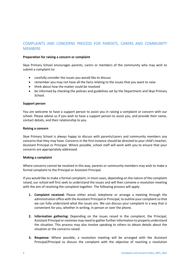# COMPLAINTS AND CONCERNS PROCESS FOR PARENTS, CARERS AND COMMUNITY **MEMBERS**

#### **Preparation for raising a concern or complaint**

Skye Primary School encourages parents, carers or members of the community who may wish to submit a complaint to:

- carefully consider the issues you would like to discuss
- remember you may not have all the facts relating to the issues that you want to raise
- think about how the matter could be resolved
- be informed by checking the policies and guidelines set by the Department and Skye Primary School.

#### **Support person**

You are welcome to have a support person to assist you in raising a complaint or concern with our school. Please advise us if you wish to have a support person to assist you, and provide their name, contact details, and their relationship to you.

#### **Raising a concern**

Skye Primary School is always happy to discuss with parents/carers and community members any concerns that they may have. Concerns in the first instance should be directed to your child's teacher, Assistant Principal or Principal. Where possible, school staff will work with you to ensure that your concerns are appropriately addressed.

#### **Making a complaint**

Where concerns cannot be resolved in this way, parents or community members may wish to make a formal complaint to the Principal or Assistant Principal.

If you would like to make a formal complaint, in most cases, depending on the nature of the complaint raised, our school will first seek to understand the issues and will then convene a resolution meeting with the aim of resolving the complaint together. The following process will apply:

- **1. Complaint received:** Please either email, telephone or arrange a meeting through the administration office with the Assistant Principal or Principal, to outline your complaint so that we can fully understand what the issues are. We can discuss your complaint in a way that is convenient for you, whether in writing, in person or over the phone.
- **2. Information gathering:** Depending on the issues raised in the complaint, the Principal, Assistant Principal or nominee may need to gather further information to properly understand the situation. This process may also involve speaking to others to obtain details about the situation or the concerns raised.
- **3. Response:** Where possible, a resolution meeting will be arranged with the Assistant Principal/Principal to discuss the complaint with the objective of reaching a resolution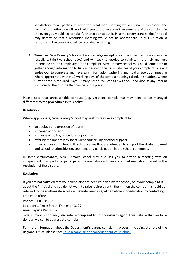satisfactory to all parties. If after the resolution meeting we are unable to resolve the complaint together, we will work with you to produce a written summary of the complaint in the event you would like to take further action about it. In some circumstances, the Principal may determine that a resolution meeting would not be appropriate. In this situation, a response to the complaint will be provided in writing.

**4. Timelines:** Skye Primary School will acknowledge receipt of your complaint as soon as possible (usually within two school days) and will seek to resolve complaints in a timely manner. Depending on the complexity of the complaint, Skye Primary School may need some time to gather enough information to fully understand the circumstances of your complaint. We will endeavour to complete any necessary information gathering and hold a resolution meeting where appropriate within 10 working days of the complaint being raised. In situations where further time is required, Skye Primary School will consult with you and discuss any interim solutions to the dispute that can be put in place.

Please note that unreasonable conduct (e.g. vexatious complaints) may need to be managed differently to the procedures in this policy.

#### **Resolution**

Where appropriate, Skye Primary School may seek to resolve a complaint by:

- an apology or expression of regret
- a change of decision
- a change of policy, procedure or practice
- offering the opportunity for student counselling or other support
- other actions consistent with school values that are intended to support the student, parent and school relationship, engagement, and participation in the school community.

In some circumstances, Skye Primary School may also ask you to attend a meeting with an independent third party, or participate in a mediation with an accredited mediator to assist in the resolution of the dispute.

#### **Escalation**

If you are not satisfied that your complaint has been resolved by the school, or if your complaint is about the Principal and you do not want to raise it directly with them, then the complaint should be referred to the south-eastern region (Bayside Peninsula) of department of education by contacting: Frankston office

Phone: [1300 338 738](tel:1300338738)

Location: 1 Petrie Street, Frankston 3199

Area: Bayside Peninsula

Skye Primary School may also refer a complaint to south-eastern region if we believe that we have done all we can to address the complaint.

For more information about the Department's parent complaints process, including the role of the Regional Office, please see: [Raise a complaint or concern about your school.](https://www.vic.gov.au/raise-complaint-or-concern-about-your-school#speaking-to-your-school)